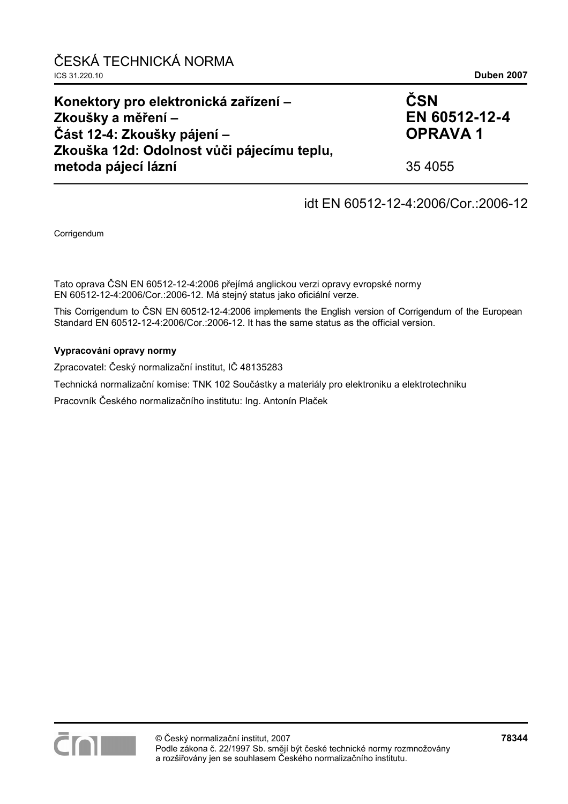| Konektory pro elektronická zařízení –<br>Zkoušky a měření – | ČSN<br>EN 60512-12-4 |
|-------------------------------------------------------------|----------------------|
| Část 12-4: Zkoušky pájení –                                 | <b>OPRAVA1</b>       |
| Zkouška 12d: Odolnost vůči pájecímu teplu,                  |                      |
| metoda pájecí lázní                                         | 35 4055              |

## idt EN 60512-12-4:2006/Cor.:2006-12

Corrigendum

Tato oprava ČSN EN 60512-12-4:2006 přejímá anglickou verzi opravy evropské normy EN 60512-12-4:2006/Cor.:2006-12. Má stejný status jako oficiální verze.

This Corrigendum to ČSN EN 60512-12-4:2006 implements the English version of Corrigendum of the European Standard EN 60512-12-4:2006/Cor.:2006-12. It has the same status as the official version.

#### **Vypracování opravy normy**

Zpracovatel: Český normalizační institut, IČ 48135283

Technická normalizační komise: TNK 102 Součástky a materiály pro elektroniku a elektrotechniku

Pracovník Českého normalizačního institutu: Ing. Antonín Plaček

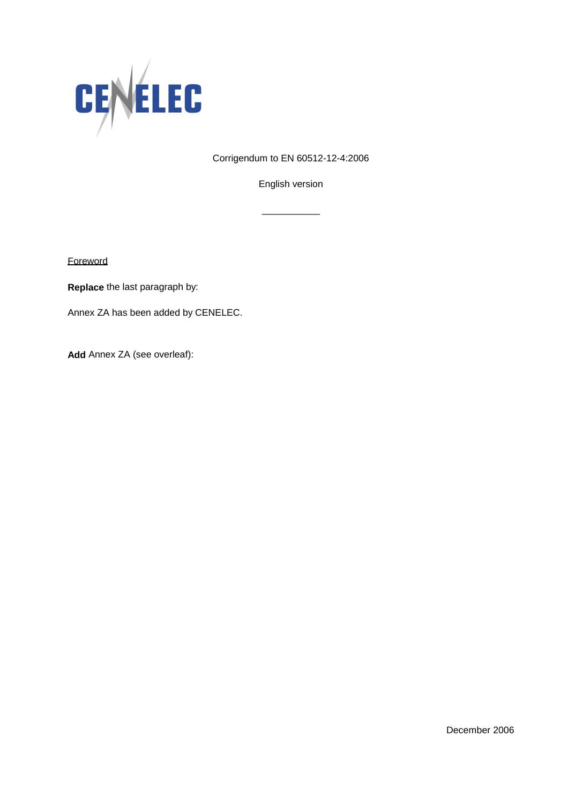

Corrigendum to EN 60512-12-4:2006

English version

\_\_\_\_\_\_\_\_\_\_\_

**Foreword** 

**Replace** the last paragraph by:

Annex ZA has been added by CENELEC.

**Add** Annex ZA (see overleaf):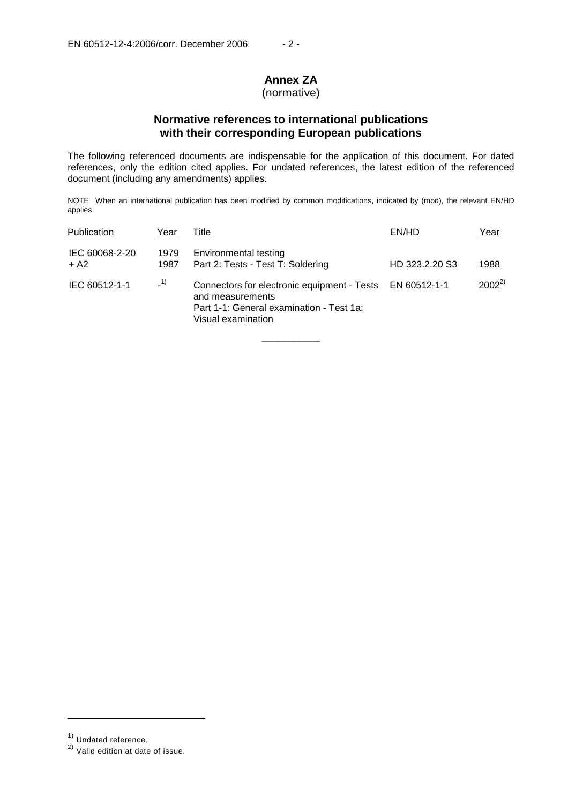# **Annex ZA**

## (normative)

## **Normative references to international publications with their corresponding European publications**

The following referenced documents are indispensable for the application of this document. For dated references, only the edition cited applies. For undated references, the latest edition of the referenced document (including any amendments) applies.

NOTE When an international publication has been modified by common modifications, indicated by (mod), the relevant EN/HD applies.

| Publication              | Year         | Title                                                                                                                             | EN/HD          | Year       |
|--------------------------|--------------|-----------------------------------------------------------------------------------------------------------------------------------|----------------|------------|
| IEC 60068-2-20<br>$+ A2$ | 1979<br>1987 | Environmental testing<br>Part 2: Tests - Test T: Soldering                                                                        | HD 323.2.20 S3 | 1988       |
| IEC 60512-1-1            | $-1)$        | Connectors for electronic equipment - Tests<br>and measurements<br>Part 1-1: General examination - Test 1a:<br>Visual examination | EN 60512-1-1   | $2002^{2}$ |

\_\_\_\_\_\_\_\_\_\_\_

j

<sup>1)</sup> Undated reference.

<sup>2)</sup> Valid edition at date of issue.